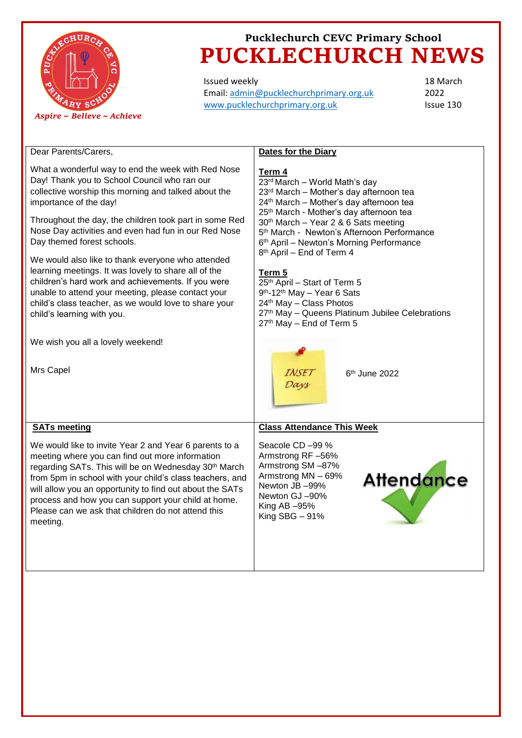

Issued weekly Email: [admin@pucklechurchprimary.org.uk](mailto:admin@pucklechurchprimary.org.uk) [www.pucklechurchprimary.org.uk](http://www.pucklechurchprimary.org.uk/)

18 March 2022 Issue 130

| Dear Parents/Carers,                                                                                                                                                                                                                                                                                                                                                                                                           | <b>Dates for the Diary</b>                                                                                                                                                                                                                                                                                                                                             |
|--------------------------------------------------------------------------------------------------------------------------------------------------------------------------------------------------------------------------------------------------------------------------------------------------------------------------------------------------------------------------------------------------------------------------------|------------------------------------------------------------------------------------------------------------------------------------------------------------------------------------------------------------------------------------------------------------------------------------------------------------------------------------------------------------------------|
| What a wonderful way to end the week with Red Nose<br>Day! Thank you to School Council who ran our<br>collective worship this morning and talked about the<br>importance of the day!<br>Throughout the day, the children took part in some Red<br>Nose Day activities and even had fun in our Red Nose<br>Day themed forest schools.                                                                                           | Term 4<br>23rd March - World Math's day<br>23rd March - Mother's day afternoon tea<br>24 <sup>th</sup> March - Mother's day afternoon tea<br>25 <sup>th</sup> March - Mother's day afternoon tea<br>30 <sup>th</sup> March - Year 2 & 6 Sats meeting<br>5 <sup>th</sup> March - Newton's Afternoon Performance<br>6 <sup>th</sup> April - Newton's Morning Performance |
| We would also like to thank everyone who attended<br>learning meetings. It was lovely to share all of the<br>children's hard work and achievements. If you were<br>unable to attend your meeting, please contact your<br>child's class teacher, as we would love to share your<br>child's learning with you.                                                                                                                   | 8 <sup>th</sup> April - End of Term 4<br>Term 5<br>25 <sup>th</sup> April - Start of Term 5<br>9 <sup>th</sup> -12 <sup>th</sup> May - Year 6 Sats<br>24th May - Class Photos<br>27 <sup>th</sup> May - Queens Platinum Jubilee Celebrations<br>27th May - End of Term 5                                                                                               |
| We wish you all a lovely weekend!                                                                                                                                                                                                                                                                                                                                                                                              |                                                                                                                                                                                                                                                                                                                                                                        |
| Mrs Capel                                                                                                                                                                                                                                                                                                                                                                                                                      | 6 <sup>th</sup> June 2022                                                                                                                                                                                                                                                                                                                                              |
| <b>SATs meeting</b>                                                                                                                                                                                                                                                                                                                                                                                                            | <b>Class Attendance This Week</b>                                                                                                                                                                                                                                                                                                                                      |
| We would like to invite Year 2 and Year 6 parents to a<br>meeting where you can find out more information<br>regarding SATs. This will be on Wednesday 30 <sup>th</sup> March<br>from 5pm in school with your child's class teachers, and<br>will allow you an opportunity to find out about the SATs<br>process and how you can support your child at home.<br>Please can we ask that children do not attend this<br>meeting. | Seacole CD -99 %<br>Armstrong RF-56%<br>Armstrong SM-87%<br>Armstrong MN - 69%<br><b>Attendance</b><br>Newton JB-99%<br>Newton GJ-90%<br>King $AB - 95%$<br>King $SBG - 91%$                                                                                                                                                                                           |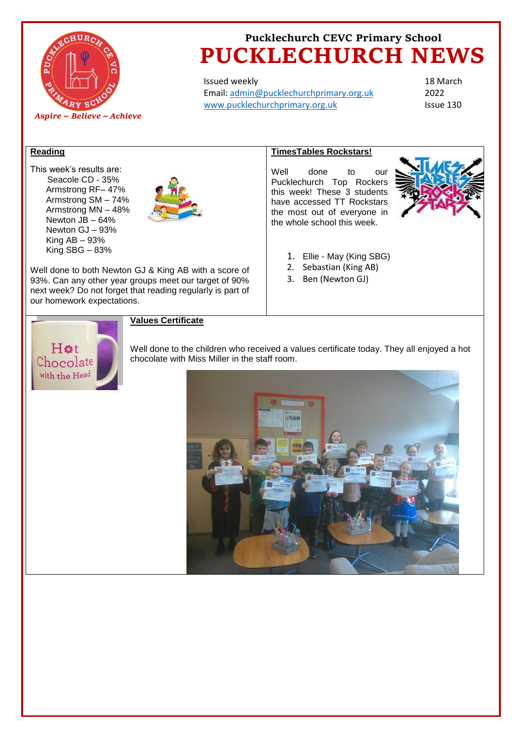

Issued weekly Email: [admin@pucklechurchprimary.org.uk](mailto:admin@pucklechurchprimary.org.uk) [www.pucklechurchprimary.org.uk](http://www.pucklechurchprimary.org.uk/)

18 March 2022 Issue 130

#### **Reading**

This week's results are: Seacole CD - 35% Armstrong RF– 47% Armstrong SM – 74% Armstrong MN – 48% Newton JB – 64% Newton GJ – 93% King  $AB - 93%$ King SBG – 83%



Well done to both Newton GJ & King AB with a score of 93%. Can any other year groups meet our target of 90% next week? Do not forget that reading regularly is part of our homework expectations.

### **TimesTables Rockstars!**

Well done to our Pucklechurch Top Rockers this week! These 3 students have accessed TT Rockstars the most out of everyone in the whole school this week.



- 1. Ellie May (King SBG)
- 2. Sebastian (King AB)
- 3. Ben (Newton GJ)



#### **Values Certificate**

Well done to the children who received a values certificate today. They all enjoyed a hot chocolate with Miss Miller in the staff room.

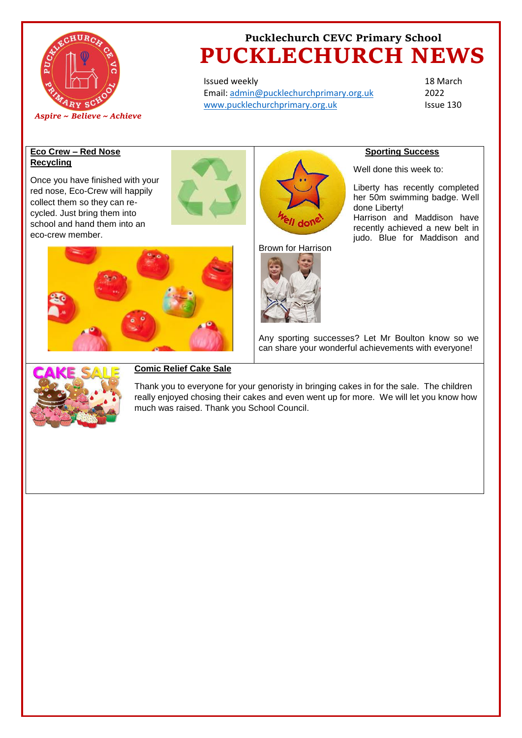

Issued weekly Email: [admin@pucklechurchprimary.org.uk](mailto:admin@pucklechurchprimary.org.uk) [www.pucklechurchprimary.org.uk](http://www.pucklechurchprimary.org.uk/)

18 March 2022 Issue 130

### **Eco Crew – Red Nose Recycling**

Once you have finished with your red nose, Eco-Crew will happily collect them so they can recycled. Just bring them into school and hand them into an eco-crew member.





Brown for Harrison



## **Sporting Success**

Well done this week to:

Liberty has recently completed her 50m swimming badge. Well done Liberty! Harrison and Maddison have recently achieved a new belt in judo. Blue for Maddison and



Any sporting successes? Let Mr Boulton know so we can share your wonderful achievements with everyone!



### **Comic Relief Cake Sale**

Thank you to everyone for your genoristy in bringing cakes in for the sale. The children really enjoyed chosing their cakes and even went up for more. We will let you know how much was raised. Thank you School Council.